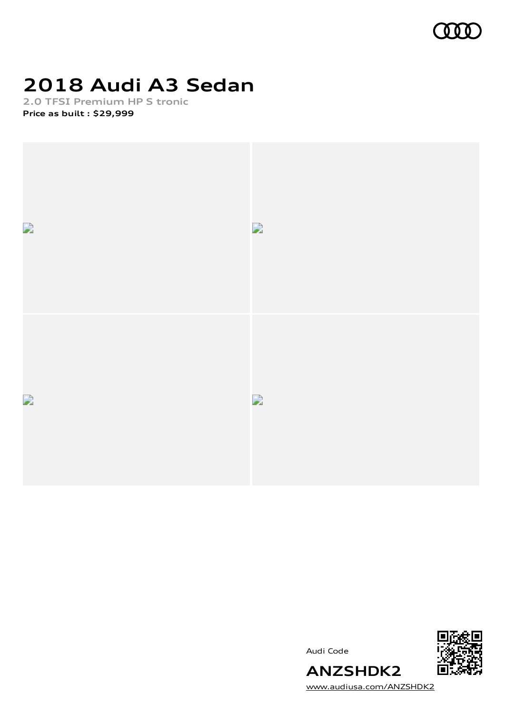

# **2018 Audi A3 Sedan**

**2.0 TFSI Premium HP S tronic Price as built [:](#page-10-0) \$29,999**



Audi Code



[www.audiusa.com/ANZSHDK2](https://www.audiusa.com/ANZSHDK2)

**ANZSHDK2**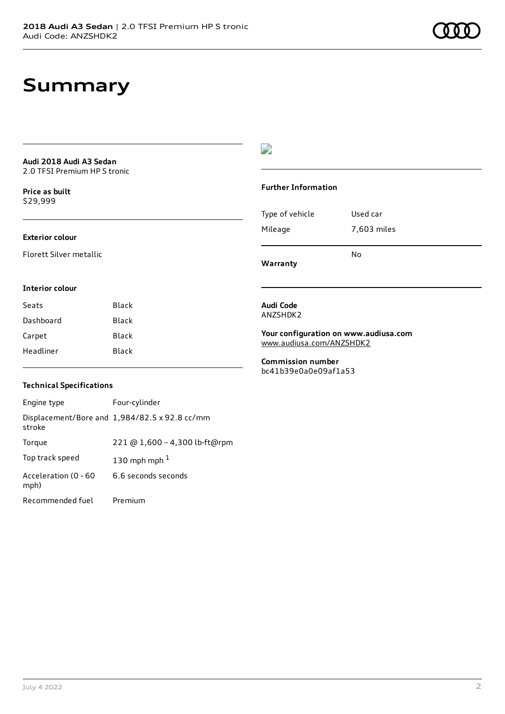### **Summary**

**Audi 2018 Audi A3 Sedan** 2.0 TFSI Premium HP S tronic

**Price as buil[t](#page-10-0)** \$29,999

#### **Exterior colour**

Florett Silver metallic

### $\overline{\phantom{a}}$

#### **Further Information**

|                 | N٥          |
|-----------------|-------------|
| Mileage         | 7,603 miles |
| Type of vehicle | Used car    |

**Warranty**

#### **Interior colour**

| Seats     | Black |
|-----------|-------|
| Dashboard | Black |
| Carpet    | Black |
| Headliner | Black |

#### **Audi Code** ANZSHDK2

**Your configuration on www.audiusa.com** [www.audiusa.com/ANZSHDK2](https://www.audiusa.com/ANZSHDK2)

**Commission number** bc41b39e0a0e09af1a53

#### **Technical Specifications**

| Engine type                  | Four-cylinder                                 |
|------------------------------|-----------------------------------------------|
| stroke                       | Displacement/Bore and 1,984/82.5 x 92.8 cc/mm |
| Torque                       | 221 @ 1,600 - 4,300 lb-ft@rpm                 |
| Top track speed              | 130 mph mph $1$                               |
| Acceleration (0 - 60<br>mph) | 6.6 seconds seconds                           |
| Recommended fuel             | Premium                                       |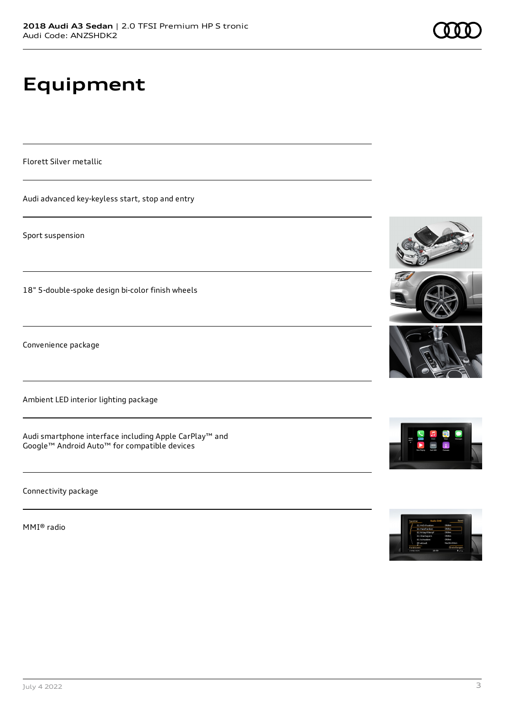# **Equipment**

Florett Silver metallic

Audi advanced key-keyless start, stop and entry

Sport suspension

18" 5-double-spoke design bi-color finish wheels

Convenience package

Ambient LED interior lighting package

Audi smartphone interface including Apple CarPlay™ and Google™ Android Auto™ for compatible devices

Connectivity package

MMI® radio











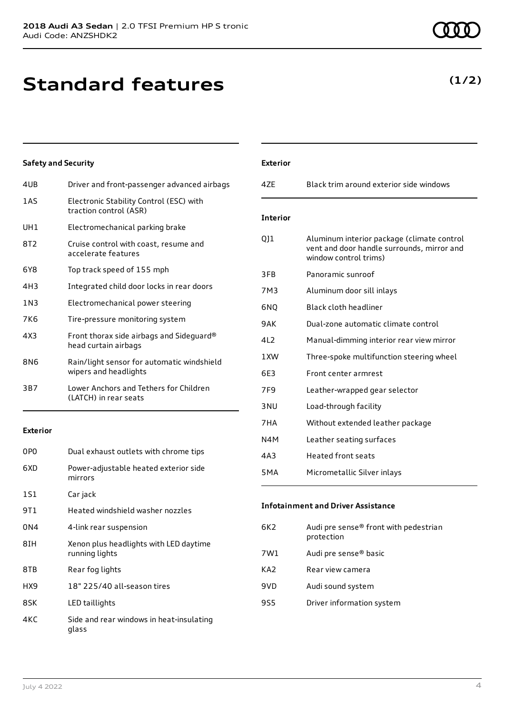## **Standard features**

### **Safety and Security**

| 4UB             | Driver and front-passenger advanced airbags                         |
|-----------------|---------------------------------------------------------------------|
| 1AS             | Electronic Stability Control (ESC) with<br>traction control (ASR)   |
| UH1             | Electromechanical parking brake                                     |
| 8T <sub>2</sub> | Cruise control with coast, resume and<br>accelerate features        |
| 6Y8             | Top track speed of 155 mph                                          |
| 4H3             | Integrated child door locks in rear doors                           |
| 1 N 3           | Electromechanical power steering                                    |
| 7K6             | Tire-pressure monitoring system                                     |
| 4X3             | Front thorax side airbags and Sideguard®<br>head curtain airbags    |
| 8N6             | Rain/light sensor for automatic windshield<br>wipers and headlights |
| 3B7             | Lower Anchors and Tethers for Children<br>(LATCH) in rear seats     |
|                 |                                                                     |

#### **Exterior**

| 0P <sub>0</sub> | Dual exhaust outlets with chrome tips                    |
|-----------------|----------------------------------------------------------|
| 6XD             | Power-adjustable heated exterior side<br>mirrors         |
| 1S1             | Car jack                                                 |
| 9T 1            | Heated windshield washer nozzles                         |
| 0N4             | 4-link rear suspension                                   |
| 8TH             | Xenon plus headlights with LED daytime<br>running lights |
| 8TB             | Rear fog lights                                          |
| HX9             | 18" 225/40 all-season tires                              |
| 8SK             | LED taillights                                           |
| 4KC             | Side and rear windows in heat-insulating<br>glass        |

| <b>Exterior</b> |                                                                                                                   |
|-----------------|-------------------------------------------------------------------------------------------------------------------|
| 47F             | Black trim around exterior side windows                                                                           |
| <b>Interior</b> |                                                                                                                   |
| 011             | Aluminum interior package (climate control<br>vent and door handle surrounds, mirror and<br>window control trims) |
| 3FB             | Panoramic sunroof                                                                                                 |
| 7M3             | Aluminum door sill inlays                                                                                         |
| 6NO             | Black cloth headliner                                                                                             |
| 9AK             | Dual-zone automatic climate control                                                                               |
| 412             | Manual-dimming interior rear view mirror                                                                          |
| 1 XW            | Three-spoke multifunction steering wheel                                                                          |
| 6E3             | Front center armrest                                                                                              |
| 7F <sub>9</sub> | Leather-wrapped gear selector                                                                                     |
| 3 <sub>NU</sub> | Load-through facility                                                                                             |
| 7HA             | Without extended leather package                                                                                  |
| N4M             | Leather seating surfaces                                                                                          |
| 4A3             | <b>Heated front seats</b>                                                                                         |
| 5MA             | Micrometallic Silver inlays                                                                                       |

#### **Infotainment and Driver Assistance**

| Audi pre sense® front with pedestrian<br>6K2<br>protection |  |
|------------------------------------------------------------|--|
| Audi pre sense <sup>®</sup> basic<br>7W1                   |  |
| KA2<br>Rear view camera                                    |  |
| 9VD<br>Audi sound system                                   |  |
| 9S5<br>Driver information system                           |  |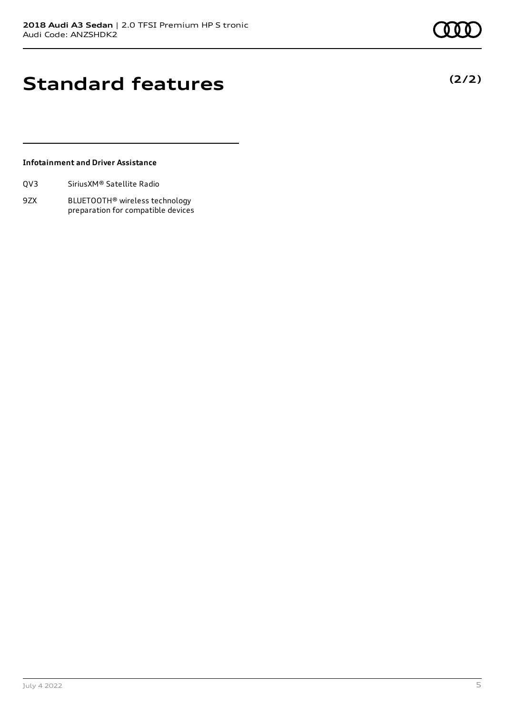**(2/2)**

### **Standard features**

#### **Infotainment and Driver Assistance**

| QV3 | Sirius XM <sup>®</sup> Satellite Radio |  |
|-----|----------------------------------------|--|
|     |                                        |  |

9ZX BLUETOOTH® wireless technology preparation for compatible devices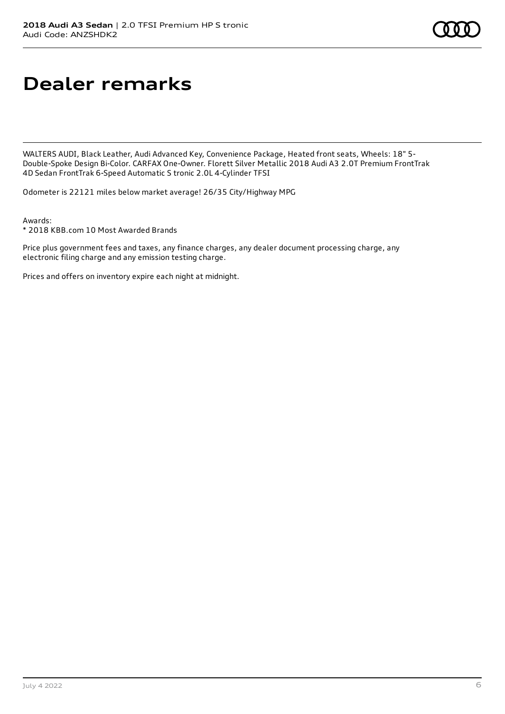## **Dealer remarks**

WALTERS AUDI, Black Leather, Audi Advanced Key, Convenience Package, Heated front seats, Wheels: 18" 5- Double-Spoke Design Bi-Color. CARFAX One-Owner. Florett Silver Metallic 2018 Audi A3 2.0T Premium FrontTrak 4D Sedan FrontTrak 6-Speed Automatic S tronic 2.0L 4-Cylinder TFSI

Odometer is 22121 miles below market average! 26/35 City/Highway MPG

Awards:

\* 2018 KBB.com 10 Most Awarded Brands

Price plus government fees and taxes, any finance charges, any dealer document processing charge, any electronic filing charge and any emission testing charge.

Prices and offers on inventory expire each night at midnight.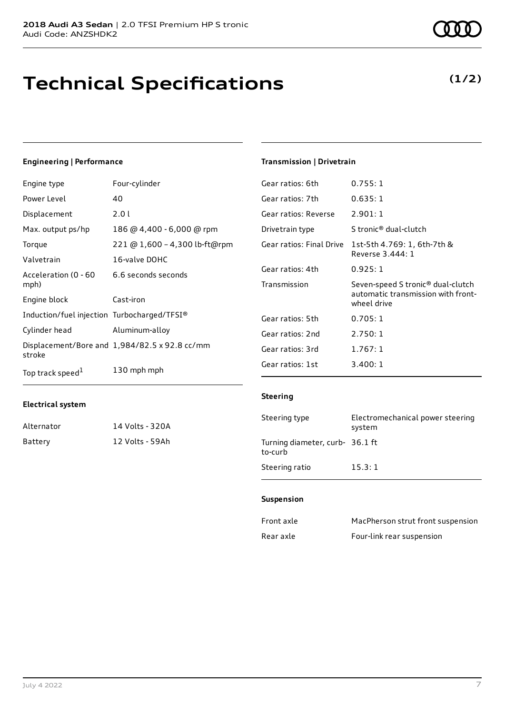### **Technical Specifications**

#### **Engineering | Performance**

| Engine type                                 | Four-cylinder                                 | Gear ratios: 6th         | 0.755:1                     |
|---------------------------------------------|-----------------------------------------------|--------------------------|-----------------------------|
| Power Level                                 | 40                                            | Gear ratios: 7th         | 0.635:1                     |
| Displacement                                | 2.01                                          | Gear ratios: Reverse     | 2.901:1                     |
| Max. output ps/hp                           | 186 @ 4,400 - 6,000 @ rpm                     | Drivetrain type          | S tronic <sup>®</sup> dua   |
| Torque                                      | 221 @ 1,600 - 4,300 lb-ft@rpm                 | Gear ratios: Final Drive | 1st-5th 4.76                |
| Valvetrain                                  | 16-valve DOHC                                 |                          | Reverse 3.44                |
| Acceleration (0 - 60                        | 6.6 seconds seconds                           | Gear ratios: 4th         | 0.925:1                     |
| mph)                                        |                                               | Transmission             | Seven-speed                 |
| Engine block                                | Cast-iron                                     |                          | automatic tr<br>wheel drive |
| Induction/fuel injection Turbocharged/TFSI® |                                               | Gear ratios: 5th         | 0.705:1                     |
| Cylinder head                               | Aluminum-alloy                                | Gear ratios: 2nd         | 2.750:1                     |
| stroke                                      | Displacement/Bore and 1,984/82.5 x 92.8 cc/mm | Gear ratios: 3rd         | 1.767:1                     |
| Top track speed <sup>1</sup>                | 130 mph mph                                   | Gear ratios: 1st         | 3.400:1                     |

#### **Electrical system**

| Alternator | 14 Volts - 320A |
|------------|-----------------|
| Battery    | 12 Volts - 59Ah |

### **Transmission | Drivetrain**

| Gear ratios: 6th         | <u>U.Z55: I</u>                                                                                    |
|--------------------------|----------------------------------------------------------------------------------------------------|
| Gear ratios: 7th         | 0.635:1                                                                                            |
| Gear ratios: Reverse     | 2.901:1                                                                                            |
| Drivetrain type          | S tronic <sup>®</sup> dual-clutch                                                                  |
| Gear ratios: Final Drive | 1st-5th 4.769: 1, 6th-7th &<br>Reverse 3.444: 1                                                    |
| Gear ratios: 4th         | 0.925:1                                                                                            |
| Transmission             | Seven-speed S tronic <sup>®</sup> dual-clutch<br>automatic transmission with front-<br>wheel drive |
| Gear ratios: 5th         | 0.705:1                                                                                            |
| Gear ratios: 2nd         | 2.750:1                                                                                            |
| Gear ratios: 3rd         | 1.767:1                                                                                            |
| Gear ratios: 1st         | 3.400: 1                                                                                           |

#### **Steering**

| Steering type                              | Electromechanical power steering<br>system |
|--------------------------------------------|--------------------------------------------|
| Turning diameter, curb- 36.1 ft<br>to-curb |                                            |
| Steering ratio                             | 15.3:1                                     |

#### **Suspension**

| Front axle | MacPherson strut front suspension |
|------------|-----------------------------------|
| Rear axle  | Four-link rear suspension         |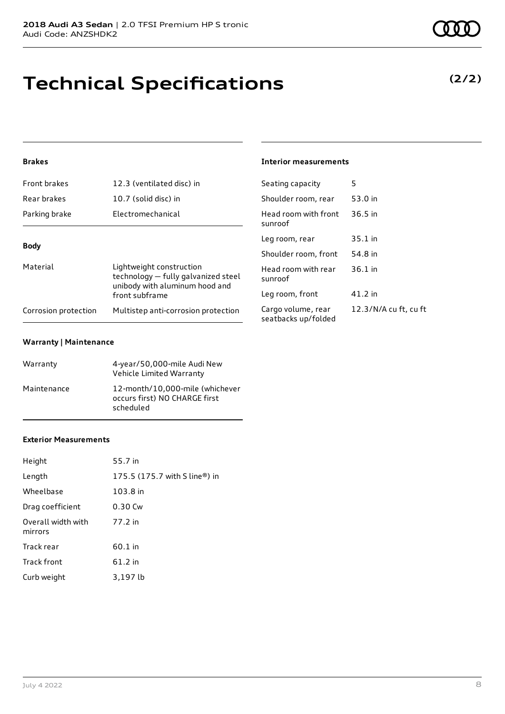# **Technical Specifications**

#### **Brakes**

| Front brakes         | 12.3 (ventilated disc) in                                                                         | Seating capacity                       |  |
|----------------------|---------------------------------------------------------------------------------------------------|----------------------------------------|--|
| Rear brakes          | 10.7 (solid disc) in                                                                              | Shoulder room, re                      |  |
| Parking brake        | Electromechanical                                                                                 | Head room with fi<br>sunroof           |  |
| <b>Body</b>          |                                                                                                   | Leg room, rear                         |  |
|                      |                                                                                                   | Shoulder room, fr                      |  |
| Material             | Lightweight construction<br>technology - fully galvanized steel<br>unibody with aluminum hood and | Head room with re<br>sunroof           |  |
|                      | front subframe                                                                                    | Leg room, front                        |  |
| Corrosion protection | Multistep anti-corrosion protection                                                               | Cargo volume, rea<br>seatbacks un/folc |  |

#### **Warranty | Maintenance**

| Warranty    | 4-year/50,000-mile Audi New<br>Vehicle Limited Warranty                       |
|-------------|-------------------------------------------------------------------------------|
| Maintenance | 12-month/10,000-mile (whichever<br>occurs first) NO CHARGE first<br>scheduled |

#### **Exterior Measurements**

| Height                        | 55.7 in                       |
|-------------------------------|-------------------------------|
| Length                        | 175.5 (175.7 with S line®) in |
| Wheelbase                     | 103.8 in                      |
| Drag coefficient              | 0.30 Cw                       |
| Overall width with<br>mirrors | 77.2 in                       |
| Track rear                    | 60.1 in                       |
| Track front                   | 61.2 in                       |
| Curb weight                   | 3,197 lb                      |

#### **Interior measurements**

| Seating capacity                          | 5                     |
|-------------------------------------------|-----------------------|
| Shoulder room, rear                       | 53.0 in               |
| Head room with front<br>sunroof           | $36.5$ in             |
| Leg room, rear                            | 35.1 in               |
| Shoulder room, front                      | 54.8 in               |
| Head room with rear<br>sunroof            | $36.1$ in             |
| Leg room, front                           | 41.2 in               |
| Cargo volume, rear<br>seatbacks up/folded | 12.3/N/A cu ft, cu ft |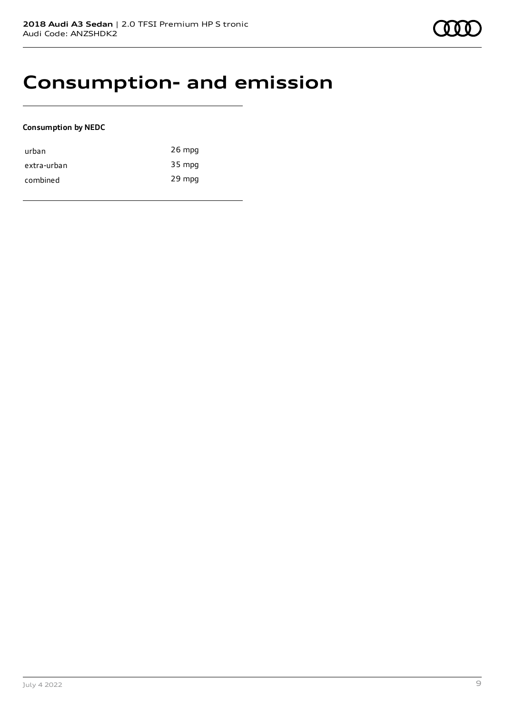### **Consumption- and emission**

#### **Consumption by NEDC**

| urban       | $26$ mpg |
|-------------|----------|
| extra-urban | 35 mpg   |
| combined    | 29 mpg   |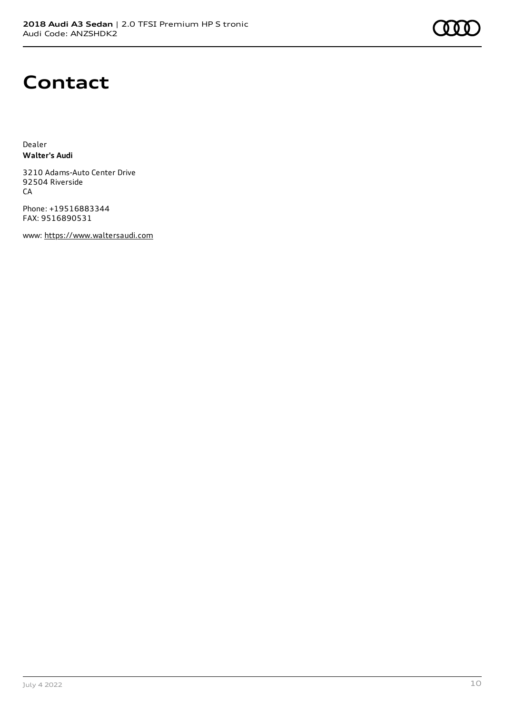### **Contact**

Dealer **Walter's Audi**

3210 Adams-Auto Center Drive 92504 Riverside **CA** 

Phone: +19516883344 FAX: 9516890531

www: [https://www.waltersaudi.com](https://www.waltersaudi.com/)